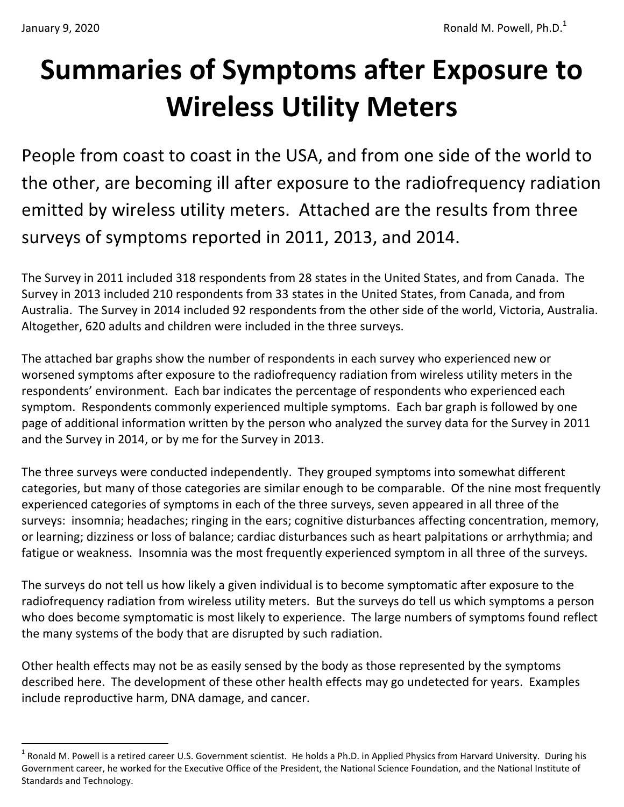$\overline{a}$ 

# **Summaries of Symptoms after Exposure to Wireless Utility Meters**

People from coast to coast in the USA, and from one side of the world to the other, are becoming ill after exposure to the radiofrequency radiation emitted by wireless utility meters. Attached are the results from three surveys of symptoms reported in 2011, 2013, and 2014.

The Survey in 2011 included 318 respondents from 28 states in the United States, and from Canada. The Survey in 2013 included 210 respondents from 33 states in the United States, from Canada, and from Australia. The Survey in 2014 included 92 respondents from the other side of the world, Victoria, Australia. Altogether, 620 adults and children were included in the three surveys.

The attached bar graphs show the number of respondents in each survey who experienced new or worsened symptoms after exposure to the radiofrequency radiation from wireless utility meters in the respondents' environment. Each bar indicates the percentage of respondents who experienced each symptom. Respondents commonly experienced multiple symptoms. Each bar graph is followed by one page of additional information written by the person who analyzed the survey data for the Survey in 2011 and the Survey in 2014, or by me for the Survey in 2013.

The three surveys were conducted independently. They grouped symptoms into somewhat different categories, but many of those categories are similar enough to be comparable. Of the nine most frequently experienced categories of symptoms in each of the three surveys, seven appeared in all three of the surveys: insomnia; headaches; ringing in the ears; cognitive disturbances affecting concentration, memory, or learning; dizziness or loss of balance; cardiac disturbances such as heart palpitations or arrhythmia; and fatigue or weakness. Insomnia was the most frequently experienced symptom in all three of the surveys.

The surveys do not tell us how likely a given individual is to become symptomatic after exposure to the radiofrequency radiation from wireless utility meters. But the surveys do tell us which symptoms a person who does become symptomatic is most likely to experience. The large numbers of symptoms found reflect the many systems of the body that are disrupted by such radiation.

Other health effects may not be as easily sensed by the body as those represented by the symptoms described here. The development of these other health effects may go undetected for years. Examples include reproductive harm, DNA damage, and cancer.

 $^1$  Ronald M. Powell is a retired career U.S. Government scientist. He holds a Ph.D. in Applied Physics from Harvard University. During his Government career, he worked for the Executive Office of the President, the National Science Foundation, and the National Institute of Standards and Technology.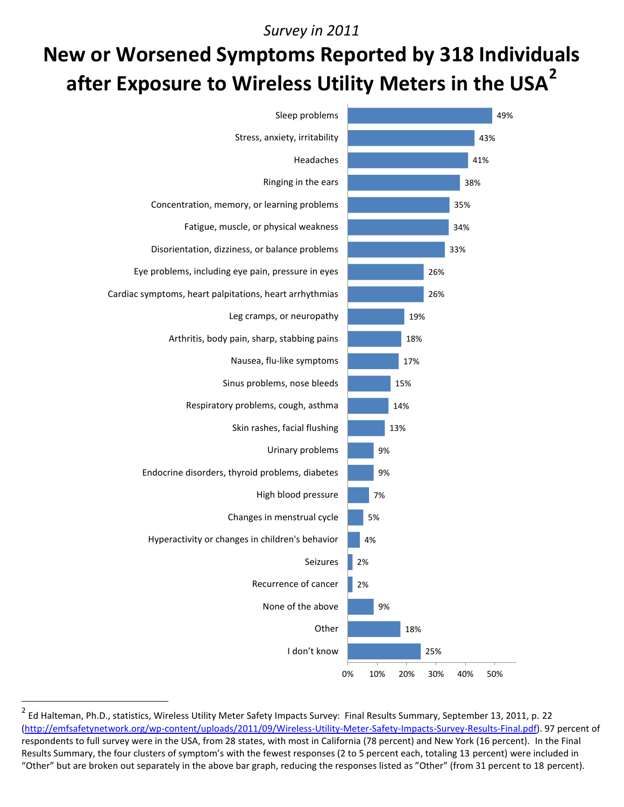#### *Survey in 2011*

## **New or Worsened Symptoms Reported by 318 Individuals after Exposure to Wireless Utility Meters in the USA<sup>2</sup>**



<sup>&</sup>lt;sup>2</sup> Ed Halteman, Ph.D., statistics, Wireless Utility Meter Safety Impacts Survey: Final Results Summary, September 13, 2011, p. 22 [\(http://emfsafetynetwork.org/wp-content/uploads/2011/09/Wireless-Utility-Meter-Safety-Impacts-Survey-Results-Final.pdf\)](http://emfsafetynetwork.org/wp-content/uploads/2011/09/Wireless-Utility-Meter-Safety-Impacts-Survey-Results-Final.pdf). 97 percent of respondents to full survey were in the USA, from 28 states, with most in California (78 percent) and New York (16 percent). In the Final Results Summary, the four clusters of symptom's with the fewest responses (2 to 5 percent each, totaling 13 percent) were included in "Other" but are broken out separately in the above bar graph, reducing the responses listed as "Other" (from 31 percent to 18 percent).

 $\overline{a}$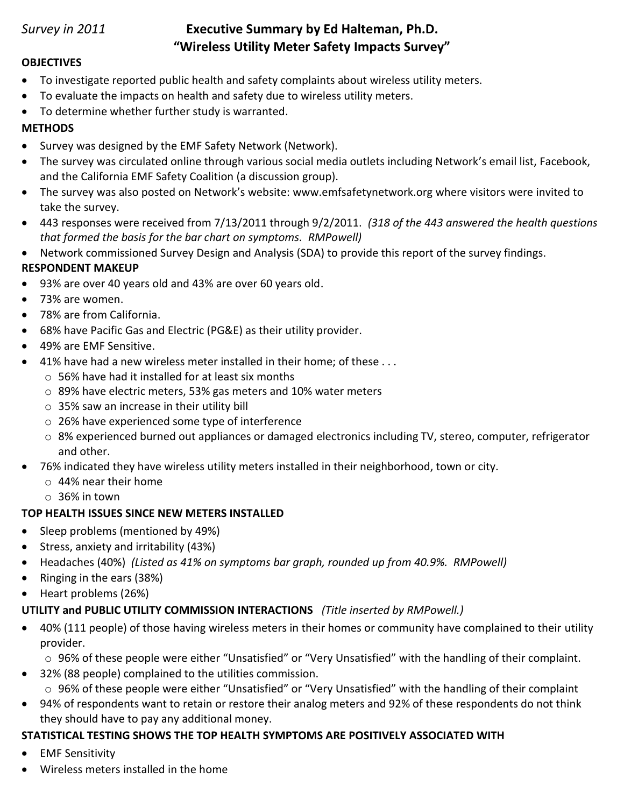### *Survey in 2011* **Executive Summary by Ed Halteman, Ph.D. "Wireless Utility Meter Safety Impacts Survey"**

#### **OBJECTIVES**

- To investigate reported public health and safety complaints about wireless utility meters.
- To evaluate the impacts on health and safety due to wireless utility meters.
- To determine whether further study is warranted.

#### **METHODS**

- Survey was designed by the EMF Safety Network (Network).
- The survey was circulated online through various social media outlets including Network's email list, Facebook, and the California EMF Safety Coalition (a discussion group).
- The survey was also posted on Network's website: www.emfsafetynetwork.org where visitors were invited to take the survey.
- 443 responses were received from 7/13/2011 through 9/2/2011. *(318 of the 443 answered the health questions that formed the basis for the bar chart on symptoms. RMPowell)*
- Network commissioned Survey Design and Analysis (SDA) to provide this report of the survey findings.

#### **RESPONDENT MAKEUP**

- 93% are over 40 years old and 43% are over 60 years old.
- 73% are women.
- 78% are from California.
- 68% have Pacific Gas and Electric (PG&E) as their utility provider.
- 49% are EMF Sensitive.
- 41% have had a new wireless meter installed in their home; of these . . .
	- $\circ$  56% have had it installed for at least six months
	- o 89% have electric meters, 53% gas meters and 10% water meters
	- o 35% saw an increase in their utility bill
	- o 26% have experienced some type of interference
	- o 8% experienced burned out appliances or damaged electronics including TV, stereo, computer, refrigerator and other.
- 76% indicated they have wireless utility meters installed in their neighborhood, town or city.
	- o 44% near their home
	- o 36% in town

#### **TOP HEALTH ISSUES SINCE NEW METERS INSTALLED**

- Sleep problems (mentioned by 49%)
- Stress, anxiety and irritability (43%)
- Headaches (40%) *(Listed as 41% on symptoms bar graph, rounded up from 40.9%. RMPowell)*
- Ringing in the ears (38%)
- Heart problems (26%)

#### **UTILITY and PUBLIC UTILITY COMMISSION INTERACTIONS** *(Title inserted by RMPowell.)*

 40% (111 people) of those having wireless meters in their homes or community have complained to their utility provider.

o 96% of these people were either "Unsatisfied" or "Very Unsatisfied" with the handling of their complaint.

- 32% (88 people) complained to the utilities commission. o 96% of these people were either "Unsatisfied" or "Very Unsatisfied" with the handling of their complaint
- 94% of respondents want to retain or restore their analog meters and 92% of these respondents do not think they should have to pay any additional money.

#### **STATISTICAL TESTING SHOWS THE TOP HEALTH SYMPTOMS ARE POSITIVELY ASSOCIATED WITH**

- **•** EMF Sensitivity
- Wireless meters installed in the home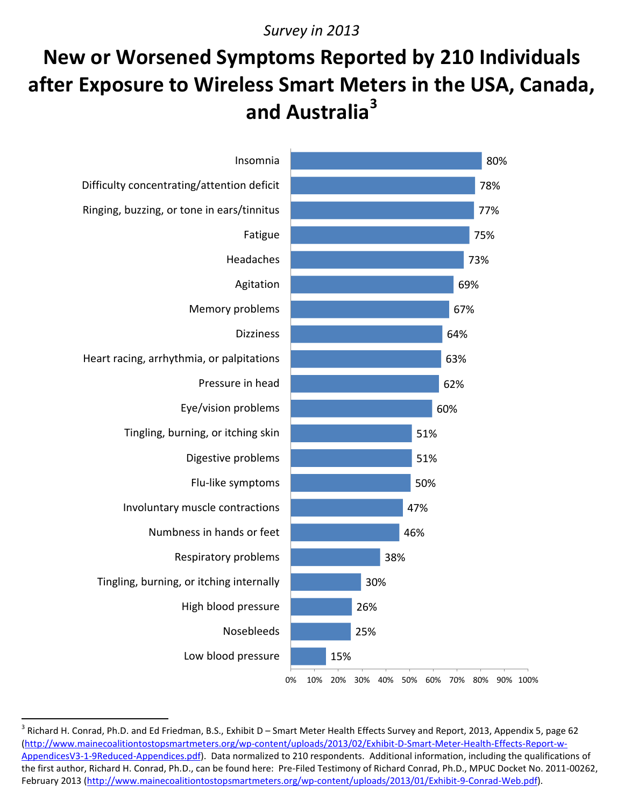#### *Survey in 2013*

### **New or Worsened Symptoms Reported by 210 Individuals after Exposure to Wireless Smart Meters in the USA, Canada, and Australia<sup>3</sup>**



<sup>3</sup> Richard H. Conrad, Ph.D. and Ed Friedman, B.S., Exhibit D – Smart Meter Health Effects Survey and Report, 2013, Appendix 5, page 62 [\(http://www.mainecoalitiontostopsmartmeters.org/wp-content/uploads/2013/02/Exhibit-D-Smart-Meter-Health-Effects-Report-w-](http://www.mainecoalitiontostopsmartmeters.org/wp-content/uploads/2013/02/Exhibit-D-Smart-Meter-Health-Effects-Report-w-AppendicesV3-1-9Reduced-Appendices.pdf)[AppendicesV3-1-9Reduced-Appendices.pdf\)](http://www.mainecoalitiontostopsmartmeters.org/wp-content/uploads/2013/02/Exhibit-D-Smart-Meter-Health-Effects-Report-w-AppendicesV3-1-9Reduced-Appendices.pdf). Data normalized to 210 respondents. Additional information, including the qualifications of the first author, Richard H. Conrad, Ph.D., can be found here: Pre-Filed Testimony of Richard Conrad, Ph.D., MPUC Docket No. 2011-00262, February 2013 [\(http://www.mainecoalitiontostopsmartmeters.org/wp-content/uploads/2013/01/Exhibit-9-Conrad-Web.pdf\)](http://www.mainecoalitiontostopsmartmeters.org/wp-content/uploads/2013/01/Exhibit-9-Conrad-Web.pdf).

 $\overline{a}$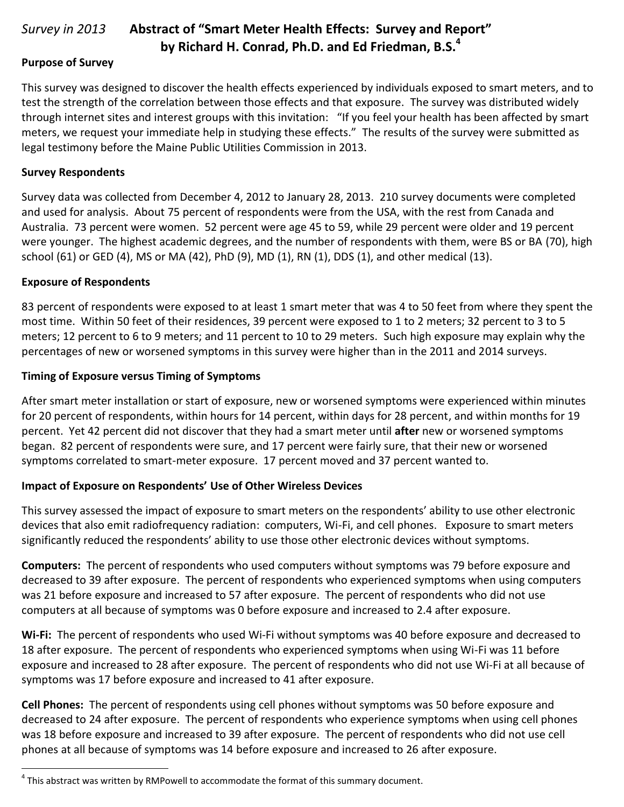#### *Survey in 2013* **Abstract of "Smart Meter Health Effects: Survey and Report" by Richard H. Conrad, Ph.D. and Ed Friedman, B.S.<sup>4</sup>**

#### **Purpose of Survey**

This survey was designed to discover the health effects experienced by individuals exposed to smart meters, and to test the strength of the correlation between those effects and that exposure. The survey was distributed widely through internet sites and interest groups with this invitation: "If you feel your health has been affected by smart meters, we request your immediate help in studying these effects." The results of the survey were submitted as legal testimony before the Maine Public Utilities Commission in 2013.

#### **Survey Respondents**

Survey data was collected from December 4, 2012 to January 28, 2013. 210 survey documents were completed and used for analysis. About 75 percent of respondents were from the USA, with the rest from Canada and Australia. 73 percent were women. 52 percent were age 45 to 59, while 29 percent were older and 19 percent were younger. The highest academic degrees, and the number of respondents with them, were BS or BA (70), high school (61) or GED (4), MS or MA (42), PhD (9), MD (1), RN (1), DDS (1), and other medical (13).

#### **Exposure of Respondents**

83 percent of respondents were exposed to at least 1 smart meter that was 4 to 50 feet from where they spent the most time. Within 50 feet of their residences, 39 percent were exposed to 1 to 2 meters; 32 percent to 3 to 5 meters; 12 percent to 6 to 9 meters; and 11 percent to 10 to 29 meters. Such high exposure may explain why the percentages of new or worsened symptoms in this survey were higher than in the 2011 and 2014 surveys.

#### **Timing of Exposure versus Timing of Symptoms**

After smart meter installation or start of exposure, new or worsened symptoms were experienced within minutes for 20 percent of respondents, within hours for 14 percent, within days for 28 percent, and within months for 19 percent. Yet 42 percent did not discover that they had a smart meter until **after** new or worsened symptoms began. 82 percent of respondents were sure, and 17 percent were fairly sure, that their new or worsened symptoms correlated to smart-meter exposure. 17 percent moved and 37 percent wanted to.

#### **Impact of Exposure on Respondents' Use of Other Wireless Devices**

This survey assessed the impact of exposure to smart meters on the respondents' ability to use other electronic devices that also emit radiofrequency radiation: computers, Wi-Fi, and cell phones. Exposure to smart meters significantly reduced the respondents' ability to use those other electronic devices without symptoms.

**Computers:** The percent of respondents who used computers without symptoms was 79 before exposure and decreased to 39 after exposure. The percent of respondents who experienced symptoms when using computers was 21 before exposure and increased to 57 after exposure. The percent of respondents who did not use computers at all because of symptoms was 0 before exposure and increased to 2.4 after exposure.

**Wi-Fi:** The percent of respondents who used Wi-Fi without symptoms was 40 before exposure and decreased to 18 after exposure. The percent of respondents who experienced symptoms when using Wi-Fi was 11 before exposure and increased to 28 after exposure. The percent of respondents who did not use Wi-Fi at all because of symptoms was 17 before exposure and increased to 41 after exposure.

**Cell Phones:** The percent of respondents using cell phones without symptoms was 50 before exposure and decreased to 24 after exposure. The percent of respondents who experience symptoms when using cell phones was 18 before exposure and increased to 39 after exposure. The percent of respondents who did not use cell phones at all because of symptoms was 14 before exposure and increased to 26 after exposure.

 4 This abstract was written by RMPowell to accommodate the format of this summary document.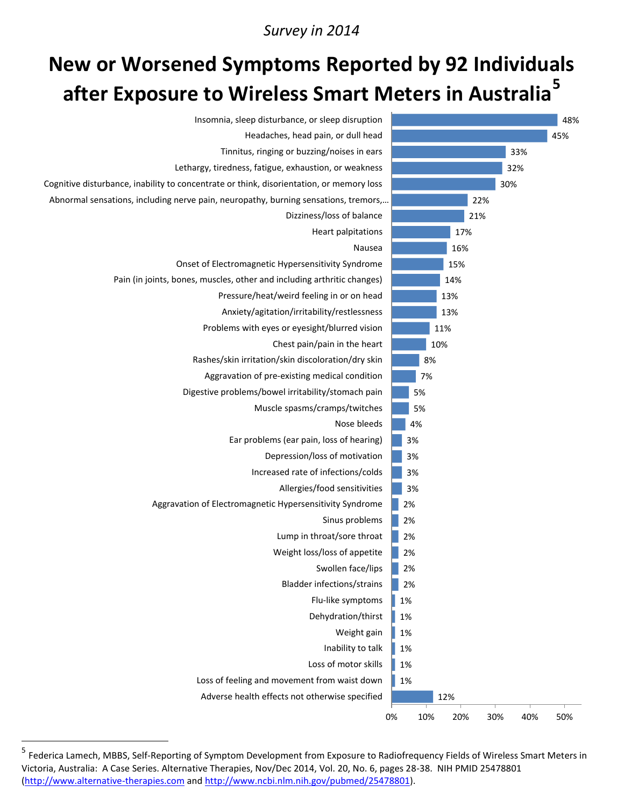#### *Survey in 2014*

### **New or Worsened Symptoms Reported by 92 Individuals after Exposure to Wireless Smart Meters in Australia<sup>5</sup>**



<sup>&</sup>lt;sup>5</sup> Federica Lamech, MBBS, Self-Reporting of Symptom Development from Exposure to Radiofrequency Fields of Wireless Smart Meters in Victoria, Australia: A Case Series. Alternative Therapies, Nov/Dec 2014, Vol. 20, No. 6, pages 28-38. NIH PMID 25478801 [\(http://www.alternative-therapies.com](http://www.alternative-therapies.com/) and [http://www.ncbi.nlm.nih.gov/pubmed/25478801\)](http://www.ncbi.nlm.nih.gov/pubmed/25478801).

 $\overline{a}$